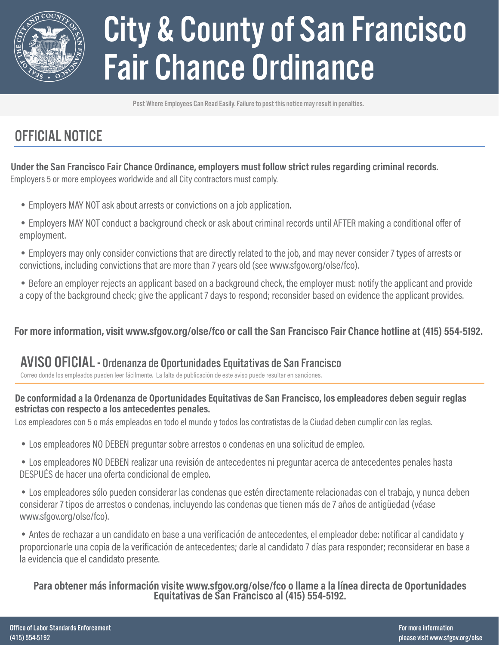

# City & County of San Francisco Fair Chance Ordinance

Post Where Employees Can Read Easily. Failure to post this notice may result in penalties.

## OFFICIAL NOTICE

**Under the San Francisco Fair Chance Ordinance, employers must follow strict rules regarding criminal records.**  Employers 5 or more employees worldwide and all City contractors must comply.

- Employers MAY NOT ask about arrests or convictions on a job application.
- Employers MAY NOT conduct a background check or ask about criminal records until AFTER making a conditional offer of employment.

• Employers may only consider convictions that are directly related to the job, and may never consider 7 types of arrests or convictions, including convictions that are more than 7 years old (see www.sfgov.org/olse/fco).

• Before an employer rejects an applicant based on a background check, the employer must: notify the applicant and provide a copy of the background check; give the applicant 7 days to respond; reconsider based on evidence the applicant provides.

### **For more information, visit www.sfgov.org/olse/fco or call the San Francisco Fair Chance hotline at (415) 554-5192.**

## AVISO OFICIAL - Ordenanza de Oportunidades Equitativas de San Francisco

Correo donde los empleados pueden leer fácilmente. La falta de publicación de este aviso puede resultar en sanciones.

#### **De conformidad a la Ordenanza de Oportunidades Equitativas de San Francisco, los empleadores deben seguir reglas estrictas con respecto a los antecedentes penales.**

Los empleadores con 5 o más empleados en todo el mundo y todos los contratistas de la Ciudad deben cumplir con las reglas.

- Los empleadores NO DEBEN preguntar sobre arrestos o condenas en una solicitud de empleo.
- Los empleadores NO DEBEN realizar una revisión de antecedentes ni preguntar acerca de antecedentes penales hasta DESPUÉS de hacer una oferta condicional de empleo.
- Los empleadores sólo pueden considerar las condenas que estén directamente relacionadas con el trabajo, y nunca deben considerar 7 tipos de arrestos o condenas, incluyendo las condenas que tienen más de 7 años de antigüedad (véase www.sfgov.org/olse/fco).

• Antes de rechazar a un candidato en base a una verificación de antecedentes, el empleador debe: notificar al candidato y proporcionarle una copia de la verificación de antecedentes; darle al candidato 7 días para responder; reconsiderar en base a la evidencia que el candidato presente.

# **Para obtener más información visite www.sfgov.org/olse/fco o llame a la línea directa de Oportunidades Equitativas de San Francisco al (415) 554-5192.**